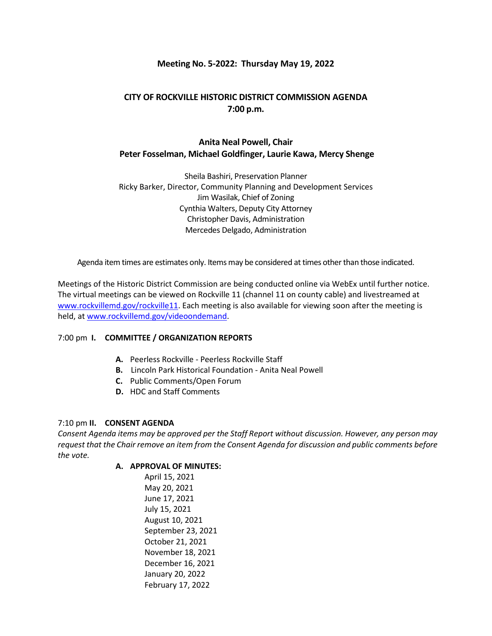## **Meeting No. 5-2022: Thursday May 19, 2022**

## **CITY OF ROCKVILLE HISTORIC DISTRICT COMMISSION AGENDA 7:00 p.m.**

# **Anita Neal Powell, Chair Peter Fosselman, Michael Goldfinger, Laurie Kawa, Mercy Shenge**

Sheila Bashiri, Preservation Planner Ricky Barker, Director, Community Planning and Development Services Jim Wasilak, Chief of Zoning Cynthia Walters, Deputy City Attorney Christopher Davis, Administration Mercedes Delgado, Administration

Agenda item times are estimates only. Items may be considered at times other than those indicated.

Meetings of the Historic District Commission are being conducted online via WebEx until further notice. The virtual meetings can be viewed on Rockville 11 (channel 11 on county cable) and livestreamed at [www.rockvillemd.gov/rockville11.](http://www.rockvillemd.gov/rockville11) Each meeting is also available for viewing soon after the meeting is held, at [www.rockvillemd.gov/videoondemand.](http://www.rockvillemd.gov/videoondemand)

## 7:00 pm **I. COMMITTEE / ORGANIZATION REPORTS**

- **A.** Peerless Rockville Peerless Rockville Staff
- **B.** Lincoln Park Historical Foundation Anita Neal Powell
- **C.** Public Comments/Open Forum
- **D.** HDC and Staff Comments

## 7:10 pm **II. CONSENT AGENDA**

*Consent Agenda items may be approved per the Staff Report without discussion. However, any person may request that the Chair remove an item from the Consent Agenda for discussion and public comments before the vote.*

## **A. APPROVAL OF MINUTES:**

April 15, 2021 May 20, 2021 June 17, 2021 July 15, 2021 August 10, 2021 September 23, 2021 October 21, 2021 November 18, 2021 December 16, 2021 January 20, 2022 February 17, 2022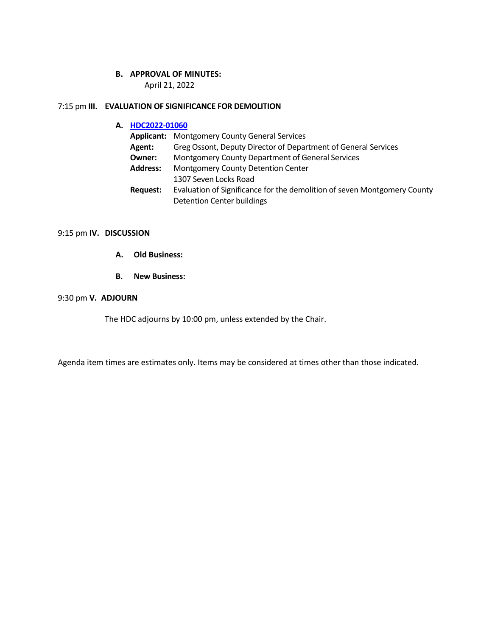#### **B. APPROVAL OF MINUTES:**

April 21, 2022

#### 7:15 pm **III. EVALUATION OF SIGNIFICANCE FOR DEMOLITION**

## **A. [HDC2022-01060](https://www.rockvillemd.gov/DocumentCenter/View/45244/HDC2022-01060-Web-Version)**

| <b>Applicant:</b> | <b>Montgomery County General Services</b>                                |  |
|-------------------|--------------------------------------------------------------------------|--|
| Agent:            | Greg Ossont, Deputy Director of Department of General Services           |  |
| Owner:            | Montgomery County Department of General Services                         |  |
| <b>Address:</b>   | <b>Montgomery County Detention Center</b>                                |  |
|                   | 1307 Seven Locks Road                                                    |  |
| Request:          | Evaluation of Significance for the demolition of seven Montgomery County |  |
|                   | <b>Detention Center buildings</b>                                        |  |

#### 9:15 pm **IV. DISCUSSION**

- **A. Old Business:**
- **B. New Business:**

#### 9:30 pm **V. ADJOURN**

The HDC adjourns by 10:00 pm, unless extended by the Chair.

Agenda item times are estimates only. Items may be considered at times other than those indicated.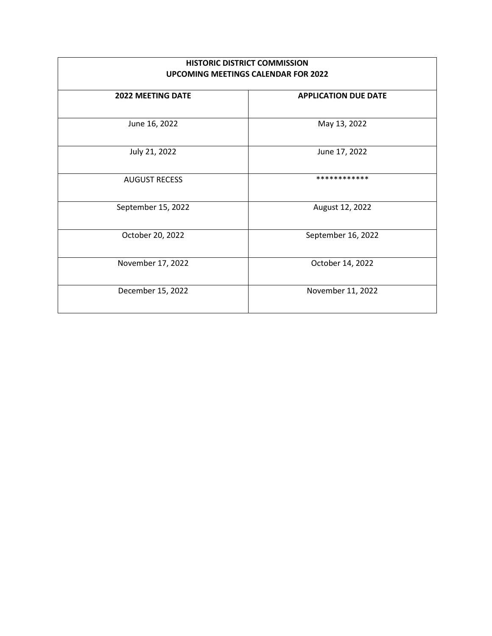| <b>HISTORIC DISTRICT COMMISSION</b><br><b>UPCOMING MEETINGS CALENDAR FOR 2022</b> |                             |  |
|-----------------------------------------------------------------------------------|-----------------------------|--|
| <b>2022 MEETING DATE</b>                                                          | <b>APPLICATION DUE DATE</b> |  |
| June 16, 2022                                                                     | May 13, 2022                |  |
| July 21, 2022                                                                     | June 17, 2022               |  |
| <b>AUGUST RECESS</b>                                                              | ************                |  |
| September 15, 2022                                                                | August 12, 2022             |  |
| October 20, 2022                                                                  | September 16, 2022          |  |
| November 17, 2022                                                                 | October 14, 2022            |  |
| December 15, 2022                                                                 | November 11, 2022           |  |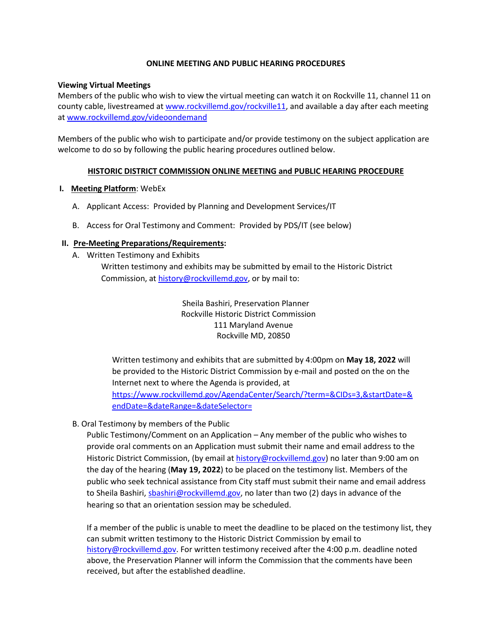#### **ONLINE MEETING AND PUBLIC HEARING PROCEDURES**

#### **Viewing Virtual Meetings**

Members of the public who wish to view the virtual meeting can watch it on Rockville 11, channel 11 on county cable, livestreamed at [www.rockvillemd.gov/rockville11,](http://www.rockvillemd.gov/rockville11) and available a day after each meeting at [www.rockvillemd.gov/videoondemand](http://www.rockvillemd.gov/videoondemand)

Members of the public who wish to participate and/or provide testimony on the subject application are welcome to do so by following the public hearing procedures outlined below.

#### **HISTORIC DISTRICT COMMISSION ONLINE MEETING and PUBLIC HEARING PROCEDURE**

#### **I. Meeting Platform**: WebEx

- A. Applicant Access: Provided by Planning and Development Services/IT
- B. Access for Oral Testimony and Comment: Provided by PDS/IT (see below)

#### **II. Pre-Meeting Preparations/Requirements:**

A. Written Testimony and Exhibits Written testimony and exhibits may be submitted by email to the Historic District Commission, at [history@rockvillemd.gov,](mailto:history@rockvillemd.gov) or by mail to:

> Sheila Bashiri, Preservation Planner Rockville Historic District Commission 111 Maryland Avenue Rockville MD, 20850

Written testimony and exhibits that are submitted by 4:00pm on **May 18, 2022** will be provided to the Historic District Commission by e-mail and posted on the on the Internet next to where the Agenda is provided, at [https://www.rockvillemd.gov/AgendaCenter/Search/?term=&CIDs=3,&startDate=&](https://www.rockvillemd.gov/AgendaCenter/Search/?term=&CIDs=3,&startDate=&endDate=&dateRange=&dateSelector=) [endDate=&dateRange=&dateSelector=](https://www.rockvillemd.gov/AgendaCenter/Search/?term=&CIDs=3,&startDate=&endDate=&dateRange=&dateSelector=)

## B. Oral Testimony by members of the Public

Public Testimony/Comment on an Application – Any member of the public who wishes to provide oral comments on an Application must submit their name and email address to the Historic District Commission, (by email at [history@rockvillemd.gov\)](mailto:history@rockvillemd.gov) no later than 9:00 am on the day of the hearing (**May 19, 2022**) to be placed on the testimony list. Members of the public who seek technical assistance from City staff must submit their name and email address to Sheila Bashiri[, sbashiri@rockvillemd.gov,](mailto:sbashiri@rockvillemd.gov) no later than two (2) days in advance of the hearing so that an orientation session may be scheduled.

If a member of the public is unable to meet the deadline to be placed on the testimony list, they can submit written testimony to the Historic District Commission by email to [history@rockvillemd.gov.](mailto:history@rockvillemd.gov) For written testimony received after the 4:00 p.m. deadline noted above, the Preservation Planner will inform the Commission that the comments have been received, but after the established deadline.